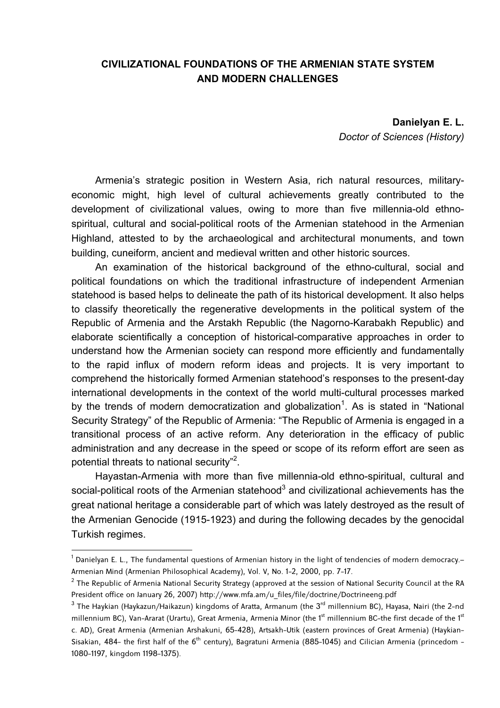## **CIVILIZATIONAL FOUNDATIONS OF THE ARMENIAN STATE SYSTEM AND MODERN CHALLENGES**

**Danielyan E. L.** 

*Doctor of Sciences (History)* 

Armenia's strategic position in Western Asia, rich natural resources, militaryeconomic might, high level of cultural achievements greatly contributed to the development of civilizational values, owing to more than five millennia-old ethnospiritual, cultural and social-political roots of the Armenian statehood in the Armenian Highland, attested to by the archaeological and architectural monuments, and town building, cuneiform, ancient and medieval written and other historic sources.

An examination of the historical background of the ethno-cultural, social and political foundations on which the traditional infrastructure of independent Armenian statehood is based helps to delineate the path of its historical development. It also helps to classify theoretically the regenerative developments in the political system of the Republic of Armenia and the Arstakh Republic (the Nagorno-Karabakh Republic) and elaborate scientifically a conception of historical-comparative approaches in order to understand how the Armenian society can respond more efficiently and fundamentally to the rapid influx of modern reform ideas and projects. It is very important to comprehend the historically formed Armenian statehood's responses to the present-day international developments in the context of the world multi-cultural processes marked by the trends of modern democratization and globalization<sup>1</sup>. As is stated in "National Security Strategy" of the Republic of Armenia: "The Republic of Armenia is engaged in a transitional process of an active reform. Any deterioration in the efficacy of public administration and any decrease in the speed or scope of its reform effort are seen as potential threats to national security"<sup>2</sup>.

Hayastan-Armenia with more than five millennia-old ethno-spiritual, cultural and social-political roots of the Armenian statehood<sup>3</sup> and civilizational achievements has the great national heritage a considerable part of which was lately destroyed as the result of the Armenian Genocide (1915-1923) and during the following decades by the genocidal Turkish regimes.

**.** 

 $^{\rm 1}$  Danielyan E. L., The fundamental questions of Armenian history in the light of tendencies of modern democracy.— Armenian Mind (Armenian Philosophical Academy), Vol. V, No. 1-2, 2000, pp. 7-17.

 $^{\rm 2}$  The Republic of Armenia National Security Strategy (approved at the session of National Security Council at the RA President office on January 26, 2007) http://www.mfa.am/u\_files/file/doctrine/Doctrineeng.pdf

 $^3$  The Haykian (Haykazun/Haikazun) kingdoms of Aratta, Armanum (the 3 $^{\rm rd}$  millennium BC), Hayasa, Nairi (the 2-nd millennium BC), Van-Ararat (Urartu), Great Armenia, Armenia Minor (the 1<sup>st</sup> millennium BC-the first decade of the 1<sup>st</sup> c. AD), Great Armenia (Armenian Arshakuni, 65-428), Artsakh-Utik (eastern provinces of Great Armenia) (Haykian-Sisakian, 484- the first half of the  $6<sup>th</sup>$  century), Bagratuni Armenia (885-1045) and Cilician Armenia (princedom -1080-1197, kingdom 1198-1375).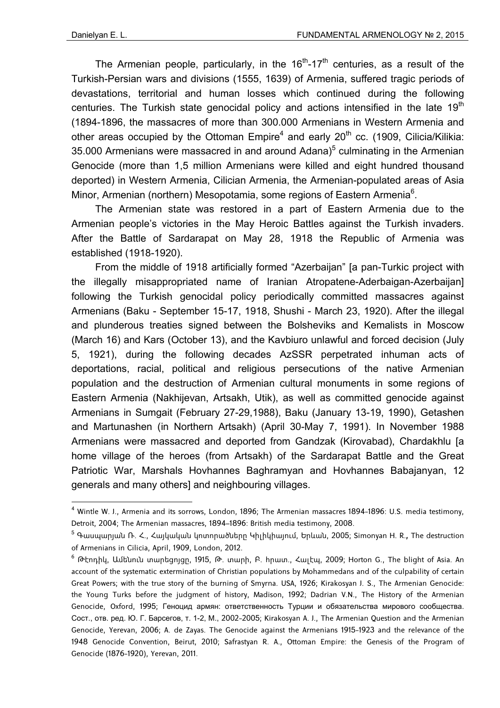1

The Armenian people, particularly, in the  $16<sup>th</sup>$ -17<sup>th</sup> centuries, as a result of the Turkish-Persian wars and divisions (1555, 1639) of Armenia, suffered tragic periods of devastations, territorial and human losses which continued during the following centuries. The Turkish state genocidal policy and actions intensified in the late  $19<sup>th</sup>$ (1894-1896, the massacres of more than 300.000 Armenians in Western Armenia and other areas occupied by the Ottoman Empire<sup>4</sup> and early 20<sup>th</sup> cc. (1909, Cilicia/Kilikia: 35.000 Armenians were massacred in and around Adana)<sup>5</sup> culminating in the Armenian Genocide (more than 1,5 million Armenians were killed and eight hundred thousand deported) in Western Armenia, Cilician Armenia, the Armenian-populated areas of Asia Minor, Armenian (northern) Mesopotamia, some regions of Eastern Armenia<sup>6</sup>.

The Armenian state was restored in a part of Eastern Armenia due to the Armenian people's victories in the May Heroic Battles against the Turkish invaders. After the Battle of Sardarapat on May 28, 1918 the Republic of Armenia was established (1918-1920).

From the middle of 1918 artificially formed "Azerbaijan" [a pan-Turkic project with the illegally misappropriated name of Iranian Atropatene-Aderbaigan-Azerbaijan] following the Turkish genocidal policy periodically committed massacres against Armenians (Baku - September 15-17, 1918, Shushi - March 23, 1920). After the illegal and plunderous treaties signed between the Bolsheviks and Kemalists in Moscow (March 16) and Kars (October 13), and the Kavbiuro unlawful and forced decision (July 5, 1921), during the following decades AzSSR perpetrated inhuman acts of deportations, racial, political and religious persecutions of the native Armenian population and the destruction of Armenian cultural monuments in some regions of Eastern Armenia (Nakhijevan, Artsakh, Utik), as well as committed genocide against Armenians in Sumgait (February 27-29,1988), Baku (January 13-19, 1990), Getashen and Martunashen (in Northern Artsakh) (April 30-May 7, 1991). In November 1988 Armenians were massacred and deported from Gandzak (Kirovabad), Chardakhlu [a home village of the heroes (from Artsakh) of the Sardarapat Battle and the Great Patriotic War, Marshals Hovhannes Baghramyan and Hovhannes Babajanyan, 12 generals and many others] and neighbouring villages.

<sup>&</sup>lt;sup>4</sup> Wintle W. J., Armenia and its sorrows, London, 1896; The Armenian massacres 1894–1896: U.S. media testimony, Detroit, 2004; The Armenian massacres, 1894–1896: British media testimony, 2008.

<sup>5</sup> Գասպարյան Ռ. Հ., Հայկական կոտորածները Կիլիկիայում, Երևան, 2005; Simonyan H. R.**,** The destruction of Armenians in Cilicia, April, 1909, London, 2012.

<sup>6</sup> Թէոդիկ, Ամենուն տարեցոյցը, 1915, Թ. տարի, Բ. հրատ., Հալէպ, 2009; Horton G., The blight of Asia. An account of the systematic extermination of Christian populations by Mohammedans and of the culpability of certain Great Powers; with the true story of the burning of Smyrna. USA, 1926; Kirakosyan J. S., The Armenian Genocide: the Young Turks before the judgment of history, Madison, 1992; Dadrian V.N., The History of the Armenian Genocide, Oxford, 1995; Геноцид армян: ответственность Турции и обязательства мирового сообщества. Сост., отв. ред. Ю. Г. Барсегов, т. 1-2, М., 2002-2005; Kirakosyan A. J., The Armenian Question and the Armenian Genocide, Yerevan, 2006; A. de Zayas. The Genocide against the Armenians 1915-1923 and the relevance of the 1948 Genocide Convention, Beirut, 2010; Safrastyan R. A., Ottoman Empire: the Genesis of the Program of Genocide (1876-1920), Yerevan, 2011.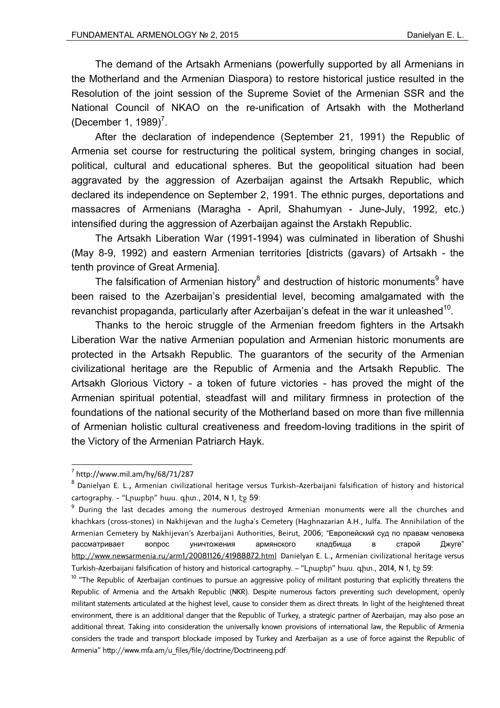The demand of the Artsakh Armenians (powerfully supported by all Armenians in the Motherland and the Armenian Diaspora) to restore historical justice resulted in the Resolution of the joint session of the Supreme Soviet of the Armenian SSR and the National Council of NKAO on the re-unification of Artsakh with the Motherland (December 1, 1989)<sup>7</sup>.

After the declaration of independence (September 21, 1991) the Republic of Armenia set course for restructuring the political system, bringing changes in social, political, cultural and educational spheres. But the geopolitical situation had been aggravated by the aggression of Azerbaijan against the Artsakh Republic, which declared its independence on September 2, 1991. The ethnic purges, deportations and massacres of Armenians (Maragha - April, Shahumyan - June-July, 1992, etc.) intensified during the aggression of Azerbaijan against the Arstakh Republic.

The Artsakh Liberation War (1991-1994) was culminated in liberation of Shushi (May 8-9, 1992) and eastern Armenian territories [districts (gavars) of Artsakh - the tenth province of Great Armenia].

The falsification of Armenian history $^8$  and destruction of historic monuments $^9$  have been raised to the Azerbaijan's presidential level, becoming amalgamated with the revanchist propaganda, particularly after Azerbaijan's defeat in the war it unleashed<sup>10</sup>.

Thanks to the heroic struggle of the Armenian freedom fighters in the Artsakh Liberation War the native Armenian population and Armenian historic monuments are protected in the Artsakh Republic. The guarantors of the security of the Armenian civilizational heritage are the Republic of Armenia and the Artsakh Republic. The Artsakh Glorious Victory - a token of future victories - has proved the might of the Armenian spiritual potential, steadfast will and military firmness in protection of the foundations of the national security of the Motherland based on more than five millennia of Armenian holistic cultural creativeness and freedom-loving traditions in the spirit of the Victory of the Armenian Patriarch Hayk.

 7 http://www.mil.am/hy/68/71/287

<sup>8</sup> Danielyan E. L.**,** Armenian civilizational heritage versus Turkish-Azerbaijani falsification of history and historical cartography. - "Լրաբեր" հաս. գիտ., 2014, N 1, էջ 59:

<sup>&</sup>lt;sup>9</sup> During the last decades among the numerous destroyed Armenian monuments were all the churches and khachkars (cross-stones) in Nakhijevan and the Jugha's Cemetery (Haghnazarian A.H., Julfa. The Annihilation of the Armenian Cemetery by Nakhijevan's Azerbaijani Authorities, Beirut, 2006; "Европейский суд по правам человека рассматривает вопрос уничтожения армянского кладбища в старой Джуге" http://www.newsarmenia.ru/arm1/20081126/41988872.html Danielyan E. L.**,** Armenian civilizational heritage versus Turkish-Azerbaijani falsification of history and historical cartography. – "Լրաբեր" հաս. գիտ., 2014, N 1, էջ 59:

<sup>&</sup>lt;sup>10</sup> "The Republic of Azerbaijan continues to pursue an aggressive policy of militant posturing that explicitly threatens the Republic of Armenia and the Artsakh Republic (NKR). Despite numerous factors preventing such development, openly militant statements articulated at the highest level, cause to consider them as direct threats. In light of the heightened threat environment, there is an additional danger that the Republic of Turkey, a strategic partner of Azerbaijan, may also pose an additional threat. Taking into consideration the universally known provisions of international law, the Republic of Armenia considers the trade and transport blockade imposed by Turkey and Azerbaijan as a use of force against the Republic of Armenia" http://www.mfa.am/u\_files/file/doctrine/Doctrineeng.pdf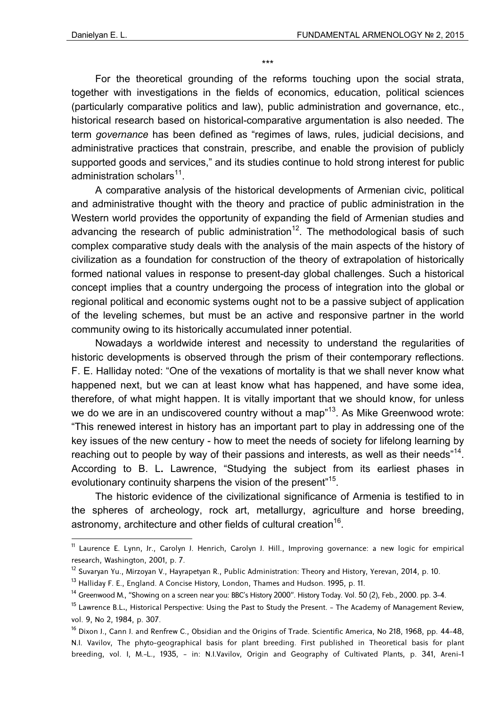**.** 

For the theoretical grounding of the reforms touching upon the social strata, together with investigations in the fields of economics, education, political sciences (particularly comparative politics and law), public administration and governance, etc., historical research based on historical-comparative argumentation is also needed. The term *governance* has been defined as "regimes of laws, rules, judicial decisions, and administrative practices that constrain, prescribe, and enable the provision of publicly supported goods and services," and its studies continue to hold strong interest for public administration scholars<sup>11</sup>.

A comparative analysis of the historical developments of Armenian civic, political and administrative thought with the theory and practice of public administration in the Western world provides the opportunity of expanding the field of Armenian studies and advancing the research of public administration<sup>12</sup>. The methodological basis of such complex comparative study deals with the analysis of the main aspects of the history of civilization as a foundation for construction of the theory of extrapolation of historically formed national values in response to present-day global challenges. Such a historical concept implies that a country undergoing the process of integration into the global or regional political and economic systems ought not to be a passive subject of application of the leveling schemes, but must be an active and responsive partner in the world community owing to its historically accumulated inner potential.

Nowadays a worldwide interest and necessity to understand the regularities of historic developments is observed through the prism of their contemporary reflections. F. E. Halliday noted: "One of the vexations of mortality is that we shall never know what happened next, but we can at least know what has happened, and have some idea, therefore, of what might happen. It is vitally important that we should know, for unless we do we are in an undiscovered country without a map<sup>"13</sup>. As Mike Greenwood wrote: "This renewed interest in history has an important part to play in addressing one of the key issues of the new century - how to meet the needs of society for lifelong learning by reaching out to people by way of their passions and interests, as well as their needs"<sup>14</sup>. According to B. L**.** Lawrence, "Studying the subject from its earliest phases in evolutionary continuity sharpens the vision of the present<sup>"15</sup>.

The historic evidence of the civilizational significance of Armenia is testified to in the spheres of archeology, rock art, metallurgy, agriculture and horse breeding, astronomy, architecture and other fields of cultural creation<sup>16</sup>.

\*\*\*

<sup>11</sup> Laurence E. Lynn, Jr., Carolyn J. Henrich, Carolyn J. Hill., Improving governance: a new logic for empirical research, Washington, 2001, p. 7.

<sup>&</sup>lt;sup>12</sup> Suvaryan Yu., Mirzoyan V., Hayrapetyan R., Public Administration: Theory and History, Yerevan, 2014, p. 10.

<sup>&</sup>lt;sup>13</sup> Halliday F. E., England. A Concise History, London, Thames and Hudson. 1995, p. 11.

<sup>&</sup>lt;sup>14</sup> Greenwood M., "Showing on a screen near you: BBC's History 2000". History Today. Vol. 50 (2), Feb., 2000, pp. 3-4.

<sup>&</sup>lt;sup>15</sup> Lawrence B.L., Historical Perspective: Using the Past to Study the Present. - The Academy of Management Review, vol. 9, No 2, 1984, p. 307.

<sup>&</sup>lt;sup>16</sup> Dixon J., Cann J. and Renfrew C., Obsidian and the Origins of Trade. Scientific America, No 218, 1968, pp. 44-48, N.I. Vavilov, The phyto-geographical basis for plant breeding. First published in Theoretical basis for plant breeding, vol. I, M.-L., 1935, - in: N.I.Vavilov, Origin and Geography of Cultivated Plants, p. 341, Areni-1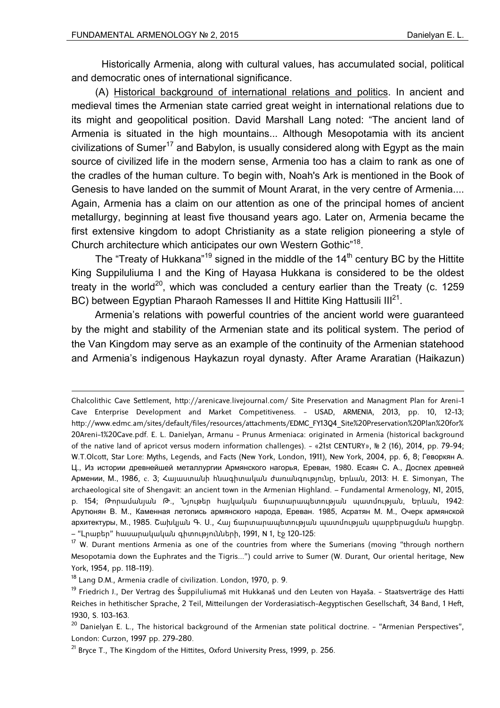Historically Armenia, along with cultural values, has accumulated social, political and democratic ones of international significance.

(A) Historical background of international relations and politics. In ancient and medieval times the Armenian state carried great weight in international relations due to its might and geopolitical position. David Marshall Lang noted: "The ancient land of Armenia is situated in the high mountains... Although Mesopotamia with its ancient civilizations of Sumer<sup>17</sup> and Babylon, is usually considered along with Egypt as the main source of civilized life in the modern sense, Armenia too has a claim to rank as one of the cradles of the human culture. To begin with, Noah's Ark is mentioned in the Book of Genesis to have landed on the summit of Mount Ararat, in the very centre of Armenia.... Again, Armenia has a claim on our attention as one of the principal homes of ancient metallurgy, beginning at least five thousand years ago. Later on, Armenia became the first extensive kingdom to adopt Christianity as a state religion pioneering a style of Church architecture which anticipates our own Western Gothic"<sup>18</sup>.

The "Treaty of Hukkana"<sup>19</sup> signed in the middle of the  $14<sup>th</sup>$  century BC by the Hittite King Suppiluliuma I and the King of Hayasa Hukkana is considered to be the oldest treaty in the world<sup>20</sup>, which was concluded a century earlier than the Treaty (c. 1259) BC) between Egyptian Pharaoh Ramesses II and Hittite King Hattusili III<sup>21</sup>.

Armenia's relations with powerful countries of the ancient world were guaranteed by the might and stability of the Armenian state and its political system. The period of the Van Kingdom may serve as an example of the continuity of the Armenian statehood and Armenia's indigenous Haykazun royal dynasty. After Arame Araratian (Haikazun)

**.** 

Chalcolithic Cave Settlement, http://arenicave.livejournal.com/ Site Preservation and Managment Plan for Areni-1 Cave Enterprise Development and Market Competitiveness. - USAD, ARMENIA, 2013, pp. 10, 12-13; http://www.edmc.am/sites/default/files/resources/attachments/EDMC\_FY13Q4\_Site%20Preservation%20Plan%20for% 20Areni-1%20Cave.pdf. E. L. Danielyan, Armanu - Prunus Armeniaca: originated in Armenia (historical background of the native land of apricot versus modern information challenges). - «21st CENTURY», № 2 (16), 2014, pp. 79-94; W.T.Olcott, Star Lore: Myths, Legends, and Facts (New York, London, 1911), New York, 2004, pp. 6, 8; Геворкян А. Ц., Из истории древнейшей металлургии Армянского нагорья, Ереван, 1980. Есаян С**.** А., Доспех древней Армении, М., 1986, с. 3; Հայաստանի հնագիտական ժառանգությունը, Երևան, 2013: H. E. Simonyan, The archaeological site of Shengavit: an ancient town in the Armenian Highland. – Fundamental Armenology, N1, 2015, p. 154; Թորամանյան Թ., Նյութեր հայկական ճարտարապետության պատմության, Երևան, 1942: Арутюнян В. М., Каменная летопись армянского народа, Ереван. 1985, Асратян М. М., Очерк армянской архитектуры, М., 1985. Շախկյան Գ. Ս., Հայ ճարտարապետության պատմության պարբերացման հարցեր. – "Լրաբեր" հասարակական գիտությունների, 1991, N 1, էջ 120-125:

<sup>&</sup>lt;sup>17</sup> W. Durant mentions Armenia as one of the countries from where the Sumerians (moving "through northern Mesopotamia down the Euphrates and the Tigris...") could arrive to Sumer (W. Durant, Our oriental heritage, New York, 1954, pp. 118-119).

<sup>&</sup>lt;sup>18</sup> Lang D.M., Armenia cradle of civilization. London, 1970, p. 9.

<sup>&</sup>lt;sup>19</sup> Friedrich J., Der Vertrag des Šuppiluliumaš mit Hukkanaš und den Leuten von Hayaša. - Staatsverträge des Hatti Reiches in hethitischer Sprache, 2 Teil, Mitteilungen der Vorderasiatisch-Aegyptischen Gesellschaft, 34 Band, 1 Heft, 1930, S. 103-163.

 $20$  Danielyan E. L., The historical background of the Armenian state political doctrine. - "Armenian Perspectives", London: Curzon, 1997 pp. 279-280.

 $21$  Bryce T., The Kingdom of the Hittites, Oxford University Press, 1999, p. 256.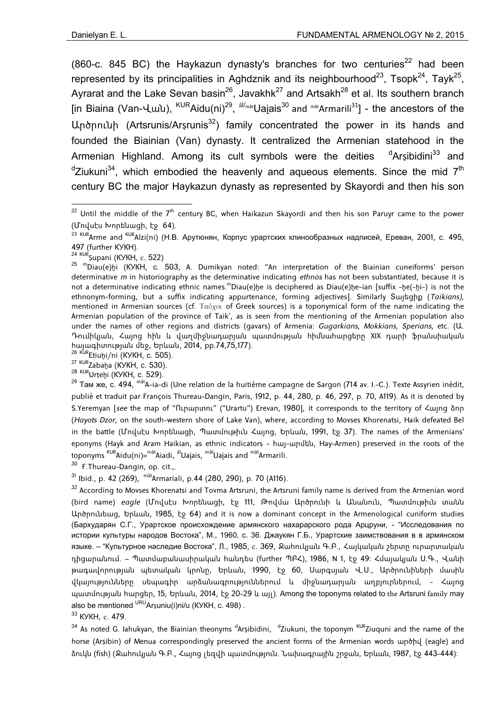(860-c. 845 BC) the Haykazun dynasty's branches for two centuries<sup>22</sup> had been represented by its principalities in Aghdznik and its neighbourhood<sup>23</sup>, Tsopk<sup>24</sup>, Tayk<sup>25</sup>, Ayrarat and the Lake Sevan basin<sup>26</sup>, Javakhk<sup>27</sup> and Artsakh<sup>28</sup> et al. Its southern branch [in Biaina (Van-Վան),  $K^{UR}$ Aidu(ni)<sup>29</sup>,  $\frac{\hat{a}l/m\hat{a}t}{m\hat{a}t}$ Uajais<sup>30</sup> and  $m\hat{a}t$ Armarili<sup>31</sup>] - the ancestors of the Արծրունի (Artsrunis/Arsrunis<sup>32</sup>) family concentrated the power in its hands and founded the Biainian (Van) dynasty. It centralized the Armenian statehood in the Armenian Highland. Among its cult symbols were the deities  $d$ Arsibidini $33$  and  $\mathrm{d}$ Ziukuni<sup>34</sup>, which embodied the heavenly and aqueous elements. Since the mid  $7^{\mathrm{th}}$ century BC the major Haykazun dynasty as represented by Skayordi and then his son

24 KUR Supani (КУКН, с. 522)

<sup>26 KUR</sup>Etiuḫi/ni (КУКН, с. 505).

 $27$  KURZabaha (KYKH, c. 530).

<sup>28 KUR</sup>Urtehi (КУКН, с. 529).

<sup>29</sup> Там же, с. 494. mâtA-ia-di (Une relation de la huitième campagne de Sargon (714 av. J.-C.). Texte Assyrien inédit, publié et traduit par François Thureau-Dangin, Paris, 1912, p. 44, 280, p. 46, 297, p. 70, A119). As it is denoted by S.Yeremyan [*see* the map of "Ուրարտու" ("Urartu") Erevan, 1980], it corresponds to the territory of Հայոց ձոր (*Hayots Dzor,* on the south-western shore of Lake Van), where, according to Movses Khorenatsi, Haik defeated Bel in the battle (Մովսէս Խորենացի, Պատմութիւն Հայոց, Երևան, 1991, էջ 37). The names of the Armenians' eponyms (Hayk and Aram Haikian, as ethnic indicators - հայ-արմեն, Hay-Armen) preserved in the roots of the toponyms <sup>KUR</sup>Aidu(ni)=<sup>mât</sup>Aiadi, <sup>âl</sup>Uajais, <sup>mât</sup>Uajais and <sup>mât</sup>Armarili.

 $30$  F.Thureau-Dangin, op. cit...

 $31$  Ibid., p. 42 (269),  $m^2$ Armariali, p.44 (280, 290), p. 70 (A116).

 $32$  According to Movses Khorenatsi and Tovma Artsruni, the Artsruni family name is derived from the Armenian word (bird name) *eagle* (Մովսէս Խորենացի, էջ 111, Թովմա Արծրունի և Անանուն, Պատմութիւն տանն Արծրունեաց, Երևան, 1985, էջ 64) and it is now a dominant concept in the Armenological cuniform studies (Бархударян С.Г., Урартскoe происхождение армянского нахарарского рода Арцруни, - "Исследования по истории культуры народов Востока", М., 1960, с. 36. Джаукян Г.Б., Урартские заимствования в в армянском языке. – "Культурное наследие Востока", Л., 1985, с. 369, Ջահուկյան Գ.Բ., Հայկական շերտը ուրարտական դիցարանում. – Պատմաբանասիրական հանդես (further ՊԲՀ), 1986, N 1, էջ 49: Հմայակյան Ս.Գ., Վանի թագավորության պետական կրոնը, Երևան, 1990, էջ 60, Սարգսյան Վ.Ս., Արծրունիների մասին վկայությունները սեպագիր արձանագրություններում և միջնադարյան աղբյուրներում, - Հայոց պատմության հարցեր, 15, Երևան, 2014, էջ 20-29 և այլ). Among the toponyms related to the Artsruni family may also be mentioned URU Arşuniu(i)ni/u (KYKH, c. 498).

<sup>33</sup> КУКН, с. 479.

 $^{34}$  As noted G. Jahukyan, the Biainian theonyms  $^{\circ}$ Arṣibidini,  $^{-\circ}$ Ziukuni, the toponym  $^{\text{\tiny KUR}}$ Ziuquni and the name of the horse (Arṣibin) of Menua correspondingly preserved the ancient forms of the Armenian words արծիվ (eagle) and ձուկն (fish) (Ջահուկյան Գ.Բ., Հայոց լեզվի պատմություն. Նախագրային շրջան, Երևան, 1987, էջ 443-444):

**<sup>.</sup>**  $22$  Until the middle of the  $7<sup>th</sup>$  century BC, when Haikazun Skayordi and then his son Paruyr came to the power (Մովսէս Խորենացի, էջ 64).

<sup>&</sup>lt;sup>23 KUR</sup>Arme and <sup>KUR</sup>Alzi(ni) (Н.В. Арутюнян, Корпус урартских клинообразных надписей, Ереван, 2001, с. 495, 497 (further КУКН).

<sup>&</sup>lt;sup>25 m</sup>Diau(e)bi (KYKH, c. 503, A. Dumikyan noted: "An interpretation of the Biainian cuneiforms' person determinative *m* in historiography as the determinative indicating *ethnos* has not been substantiated, because it is not a determinative indicating ethnic names.<sup>m</sup>Diau(e)he is deciphered as Diau(e)he-ian [suffix -ḥe(-ḥi-) is not the ethnonym-forming, but a suffix indicating appurtenance, forming adjectives]. Similarly Տայեցիք (*Taikians),*  mentioned in Armenian sources (cf. Taóxol of Greek sources) is a toponymical form of the name indicating the Armenian population of the province of Taik', as is seen from the mentioning of the Armenian population also under the names of other regions and districts (gavars) of Armenia: *Gugarkians, Mokkians, Sperians,* etc. (Ա. Դումիկյան, Հայոց հին և վաղմիջնադարյան պատմության հիմնահարցերը XIX դարի ֆրանսիական հայագիտության մեջ, Երևան, 2014, pp.74,75,177).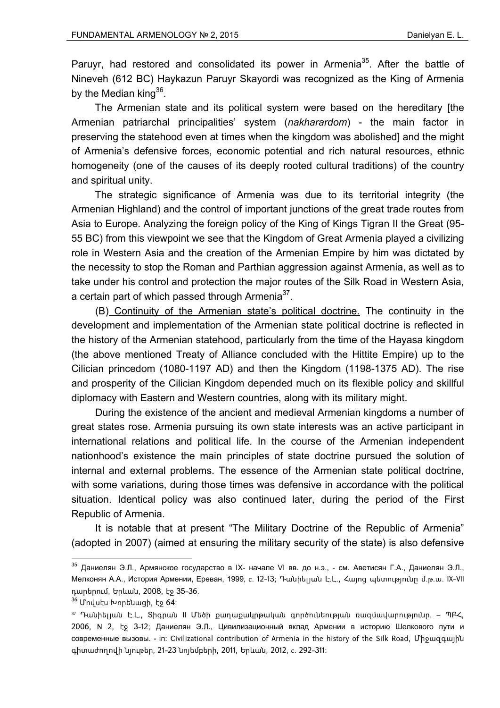Paruyr, had restored and consolidated its power in Armenia<sup>35</sup>. After the battle of Nineveh (612 BC) Haykazun Paruyr Skayordi was recognized as the King of Armenia by the Median king  $36$ .

The Armenian state and its political system were based on the hereditary [the Armenian patriarchal principalities' system (*nakharardom*) - the main factor in preserving the statehood even at times when the kingdom was abolished] and the might of Armenia's defensive forces, economic potential and rich natural resources, ethnic homogeneity (one of the causes of its deeply rooted cultural traditions) of the country and spiritual unity.

The strategic significance of Armenia was due to its territorial integrity (the Armenian Highland) and the control of important junctions of the great trade routes from Asia to Europe. Analyzing the foreign policy of the King of Kings Tigran II the Great (95- 55 BC) from this viewpoint we see that the Kingdom of Great Armenia played a civilizing role in Western Asia and the creation of the Armenian Empire by him was dictated by the necessity to stop the Roman and Parthian aggression against Armenia, as well as to take under his control and protection the major routes of the Silk Road in Western Asia, a certain part of which passed through Armenia $3^7$ .

(B) Continuity of the Armenian state's political doctrine. The continuity in the development and implementation of the Armenian state political doctrine is reflected in the history of the Armenian statehood, particularly from the time of the Hayasa kingdom (the above mentioned Treaty of Alliance concluded with the Hittite Empire) up to the Cilician princedom (1080-1197 AD) and then the Kingdom (1198-1375 AD). The rise and prosperity of the Cilician Kingdom depended much on its flexible policy and skillful diplomacy with Eastern and Western countries, along with its military might.

During the existence of the ancient and medieval Armenian kingdoms a number of great states rose. Armenia pursuing its own state interests was an active participant in international relations and political life. In the course of the Armenian independent nationhood's existence the main principles of state doctrine pursued the solution of internal and external problems. The essence of the Armenian state political doctrine, with some variations, during those times was defensive in accordance with the political situation. Identical policy was also continued later, during the period of the First Republic of Armenia.

It is notable that at present "The Military Doctrine of the Republic of Armenia" (adopted in 2007) (aimed at ensuring the military security of the state) is also defensive

1

<sup>35</sup> Даниелян Э.Л., Армянское государство в IX- начале VI вв. до н.э., - см. Аветисян Г.А., Даниелян Э.Л., Мелконян А.А., История Армении, Ереван, 1999, с. 12-13; Դանիելյան Է.Լ., Հայոց պետությունը մ.թ.ա. IX-VII դարերում, Երևան, 2008, էջ 35-36.

 $36$  Մովսէս Խորենացի, էջ 64:

 $37$  Դանիելյան Է.Լ., Տիգրան II Մեծի քաղաքակրթական գործունեության ռազմավարությունը. – ՊԲՀ, 2006, N 2, էջ 3-12; Даниелян Э.Л., Цивилизационный вклад Армении в историю Шелкового пути и сoвременные вызовы. - in: Civilizational contribution of Armenia in the history of the Silk Road, Միջազգային գիտաժողովի նյութեր, 21-23 նոյեմբերի, 2011, Երևան, 2012, с. 292-311: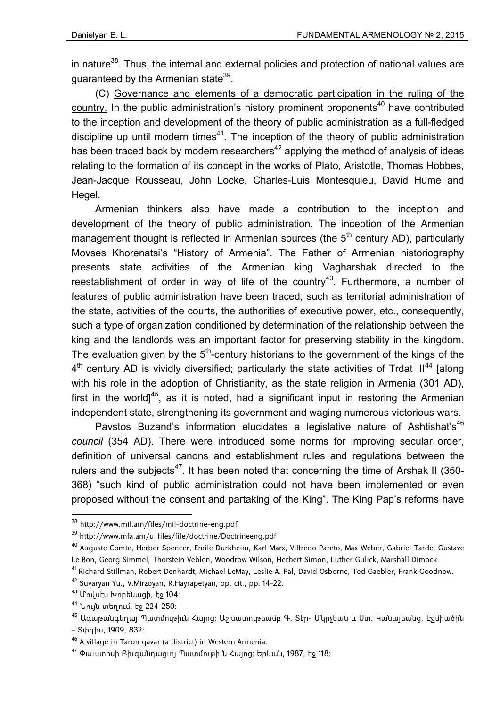in nature<sup>38</sup>. Thus, the internal and external policies and protection of national values are guaranteed by the Armenian state<sup>39</sup>.

(C) Governance and elements of a democratic participation in the ruling of the country. In the public administration's history prominent proponents<sup>40</sup> have contributed to the inception and development of the theory of public administration as a full-fledged discipline up until modern times<sup>41</sup>. The inception of the theory of public administration has been traced back by modern researchers<sup>42</sup> applying the method of analysis of ideas relating to the formation of its concept in the works of Plato, Aristotle, Thomas Hobbes, Jean-Jacque Rousseau, John Locke, Charles-Luis Montesquieu, David Hume and Hegel.

Armenian thinkers also have made a contribution to the inception and development of the theory of public administration. The inception of the Armenian management thought is reflected in Armenian sources (the  $5<sup>th</sup>$  century AD), particularly Movses Khorenatsi's "History of Armenia". The Father of Armenian historiography presents state activities of the Armenian king Vagharshak directed to the reestablishment of order in way of life of the country<sup>43</sup>. Furthermore, a number of features of public administration have been traced, such as territorial administration of the state, activities of the courts, the authorities of executive power, etc., consequently, such a type of organization conditioned by determination of the relationship between the king and the landlords was an important factor for preserving stability in the kingdom. The evaluation given by the  $5<sup>th</sup>$ -century historians to the government of the kings of the 4<sup>th</sup> century AD is vividly diversified; particularly the state activities of Trdat III<sup>44</sup> [along with his role in the adoption of Christianity, as the state religion in Armenia (301 AD), first in the world<sup>45</sup>, as it is noted, had a significant input in restoring the Armenian independent state, strengthening its government and waging numerous victorious wars.

Pavstos Buzand's information elucidates a legislative nature of Ashtishat's<sup>46</sup> *council* (354 AD). There were introduced some norms for improving secular order, definition of universal canons and establishment rules and regulations between the rulers and the subjects<sup>47</sup>. It has been noted that concerning the time of Arshak II (350-368) "such kind of public administration could not have been implemented or even proposed without the consent and partaking of the King". The King Pap's reforms have

1

<sup>&</sup>lt;sup>38</sup> http://www.mil.am/files/mil-doctrine-eng.pdf

<sup>39</sup> http://www.mfa.am/u\_files/file/doctrine/Doctrineeng.pdf

<sup>40</sup> Auguste Comte, Herber Spencer, Emile Durkheim, Karl Marx, Vilfredo Pareto, Max Weber, Gabriel Tarde, Gustave Le Bon, Georg Simmel, Thorstein Veblen, Woodrow Wilson, Herbert Simon, Luther Gulick, Marshall Dimock.

<sup>41</sup> Richard Stillman, Robert Denhardt, Michael LeMay, Leslie A. Pal, David Osborne, Ted Gaebler, Frank Goodnow.

<sup>42</sup> Suvaryan Yu., V.Mirzoyan, R.Hayrapetyan, op. cit., pp. 14-22.

<sup>43</sup> Մովսէս Խորենացի, էջ 104:

<sup>44</sup> Նույն տեղում, էջ 224-250:

<sup>45</sup> Ագաթանգեղայ Պատմութիւն Հայոց: Աշխատութեամբ Գ. Տէր- Մկրչեան և Ստ. Կանայեանց, Էջմիածին – Տփղիս, 1909, 832:

<sup>46</sup> A village in Taron gavar (a district) in Western Armenia.

 $47$  Փաւստոսի Բիւզանդացւոյ Պատմութիւն Հայոց։ Երևան, 1987, էջ 118: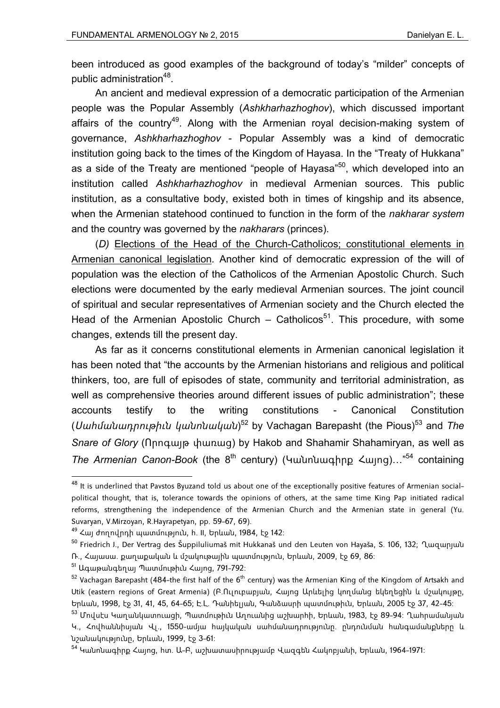been introduced as good examples of the background of today's "milder" concepts of public administration<sup>48</sup>.

An ancient and medieval expression of a democratic participation of the Armenian people was the Popular Assembly (*Ashkharhazhoghov*), which discussed important affairs of the country<sup>49</sup>. Along with the Armenian royal decision-making system of governance, *Ashkharhazhoghov* - Popular Assembly was a kind of democratic institution going back to the times of the Kingdom of Hayasa. In the "Treaty of Hukkana" as a side of the Treaty are mentioned "people of Hayasa"<sup>50</sup>, which developed into an institution called *Ashkharhazhoghov* in medieval Armenian sources. This public institution, as a consultative body, existed both in times of kingship and its absence, when the Armenian statehood continued to function in the form of the *nakharar system* and the country was governed by the *nakharars* (princes).

(*D)* Elections of the Head of the Church-Catholicos; constitutional elements in Armenian canonical legislation*.* Another kind of democratic expression of the will of population was the election of the Catholicos of the Armenian Apostolic Church. Such elections were documented by the early medieval Armenian sources. The joint council of spiritual and secular representatives of Armenian society and the Church elected the Head of the Armenian Apostolic Church – Catholicos<sup>51</sup>. This procedure, with some changes, extends till the present day.

As far as it concerns constitutional elements in Armenian canonical legislation it has been noted that "the accounts by the Armenian historians and religious and political thinkers, too, are full of episodes of state, community and territorial administration, as well as comprehensive theories around different issues of public administration"; these accounts testify to the writing constitutions - Canonical Constitution (*Սահմանադրութիւն կանոնական*)<sup>52</sup> by Vachagan Barepasht (the Pious)<sup>53</sup> and *The Snare of Glory* (Որոգայթ փառաց) by Hakob and Shahamir Shahamiryan, as well as *The Armenian Canon-Book* (the 8<sup>th</sup> century) (Կանոնագիրք Հայոց)...<sup>"54</sup> containing

 $51$  Ագաթանգեղայ Պատմութիւն Հայոց, 791-792:

**.** 

 $54$  Կանոնագիրք Հայոց, իտ. Ա-Բ, աշխատասիրությամբ Վազգեն Հակոբյանի, Երևան, 1964-1971։

 $^{\rm 48}$  It is underlined that Pavstos Byuzand told us about one of the exceptionally positive features of Armenian socialpolitical thought, that is, tolerance towards the opinions of others, at the same time King Pap initiated radical reforms, strengthening the independence of the Armenian Church and the Armenian state in general (Yu. Suvaryan, V.Mirzoyan, R.Hayrapetyan, pp. 59-67, 69).

 $49$  Հայ ժողովրդի պատմություն, h. II, Երևան, 1984, էջ 142:

<sup>50</sup> Friedrich J., Der Vertrag des Šuppiluliumaš mit Hukkanaš und den Leuten von Hayaša, S. 106, 132; Ղազարյան Ռ., Հայասա. քաղաքական և մշակութային պատմություն, Երևան, 2009, էջ 69, 86:

 $52$  Vachagan Barepasht (484-the first half of the  $6<sup>th</sup>$  century) was the Armenian King of the Kingdom of Artsakh and Utik (eastern regions of Great Armenia) (Բ.Ուլուբաբյան, Հայոց Արևելից կողմանց եկեղեցին և մշակույթը, Երևան, 1998, էջ 31, 41, 45, 64-65; Է.Լ. Դանիելյան, Գանձասրի պատմութիւն, Երևան, 2005 էջ 37, 42-45:

<sup>53</sup> Մովսէս Կաղանկատուացի, Պատմութիւն Աղուանից աշխարհի, Երևան, 1983, էջ 89-94: Ղահրամանյան Կ., Հովհաննիսյան Վլ., 1550-ամյա հայկական սահմանադրությունը. ընդունման հանգամանքները և նշանակությունը, Երևան, 1999, էջ 3-61: